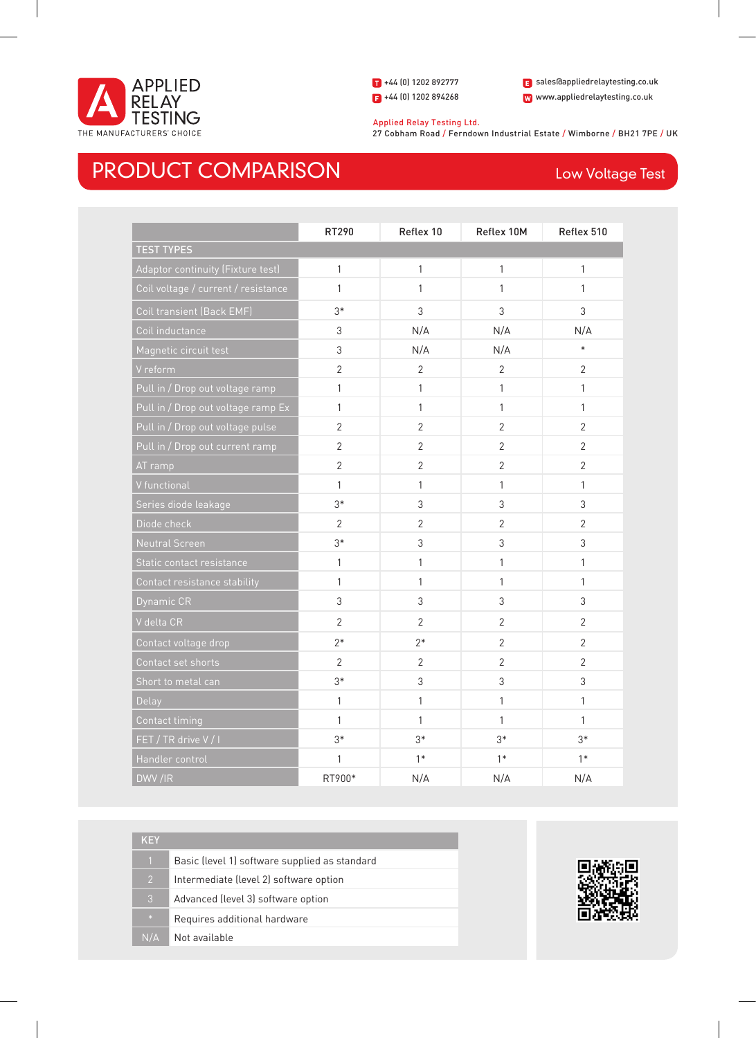

+44 (0) 1202 892777 +44 (0) 1202 894268

www.appliedrelaytesting.co.uk sales@appliedrelaytesting.co.uk

 Applied Relay Testing Ltd. 27 Cobham Road / Ferndown Industrial Estate / Wimborne / BH21 7PE / UK

## PRODUCT COMPARISON Low Voltage Test

|                                     | RT290          | Reflex 10      | Reflex 10M     | Reflex 510     |
|-------------------------------------|----------------|----------------|----------------|----------------|
| <b>TEST TYPES</b>                   |                |                |                |                |
| Adaptor continuity (Fixture test)   | $\mathbf{1}$   | $\mathbf{1}$   | $\mathbf{1}$   | 1              |
| Coil voltage / current / resistance | 1              | 1              | 1              | 1              |
| Coil transient (Back EMF)           | $3*$           | 3              | 3              | 3              |
| Coil inductance                     | 3              | N/A            | N/A            | N/A            |
| Magnetic circuit test               | 3              | N/A            | N/A            | $\ast$         |
| V reform                            | $\overline{2}$ | $\overline{2}$ | $\overline{2}$ | $\overline{2}$ |
| Pull in / Drop out voltage ramp     | 1              | $\mathbf{1}$   | 1              | 1              |
| Pull in / Drop out voltage ramp Ex  | 1              | 1              | 1              | 1              |
| Pull in / Drop out voltage pulse    | $\overline{2}$ | $\overline{2}$ | $\overline{2}$ | $\overline{2}$ |
| Pull in / Drop out current ramp     | $\overline{2}$ | $\overline{2}$ | $\overline{2}$ | $\overline{2}$ |
| AT ramp                             | $\overline{2}$ | $\overline{2}$ | $\overline{2}$ | $\overline{2}$ |
| V functional                        | 1              | $\mathbf{1}$   | 1              | 1              |
| Series diode leakage                | $3*$           | 3              | 3              | 3              |
| Diode check                         | $\overline{2}$ | $\overline{2}$ | $\overline{2}$ | $\overline{2}$ |
| Neutral Screen                      | $3*$           | 3              | 3              | 3              |
| Static contact resistance           | $\mathbf{1}$   | $\mathbf{1}$   | 1              | 1              |
| Contact resistance stability        | 1              | 1              | 1              | 1              |
| Dynamic CR                          | 3              | 3              | 3              | 3              |
| V delta CR                          | $\overline{2}$ | $\overline{2}$ | $\overline{2}$ | $\overline{2}$ |
| Contact voltage drop                | $2*$           | $2*$           | $\overline{2}$ | $\overline{2}$ |
| Contact set shorts                  | $\overline{2}$ | $\overline{2}$ | $\overline{2}$ | $\overline{2}$ |
| Short to metal can                  | $3*$           | 3              | 3              | 3              |
| Delay                               | 1              | $\mathbf{1}$   | 1              | 1              |
| Contact timing                      | 1              | 1              | 1              | 1              |
| FET / TR drive V / I                | $3*$           | $3*$           | $3*$           | $3*$           |
| Handler control                     | 1              | $1*$           | $1*$           | $1*$           |
| DWV/IR                              | RT900*         | N/A            | N/A            | N/A            |

| KEY            |                                               |
|----------------|-----------------------------------------------|
| $\overline{1}$ | Basic (level 1) software supplied as standard |
| $\overline{2}$ | Intermediate (level 2) software option        |
| 3              | Advanced (level 3) software option            |
| $\frac{1}{2}$  | Requires additional hardware                  |
| N/A            | Not available                                 |

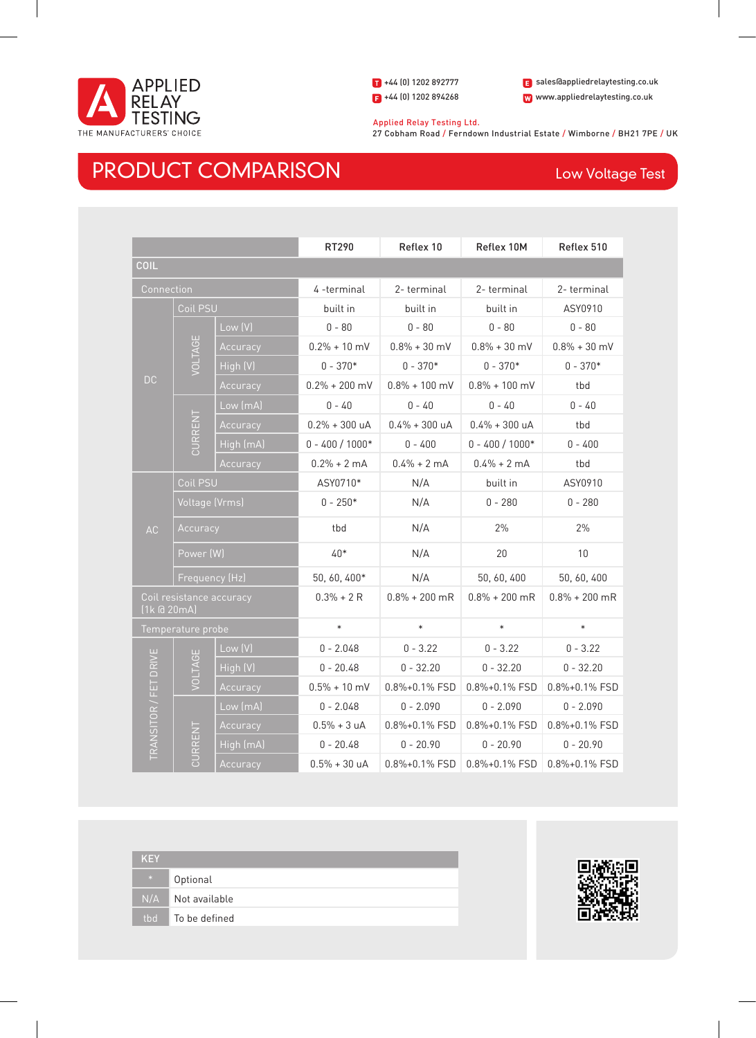

+44 (0) 1202 892777 +44 (0) 1202 894268

www.appliedrelaytesting.co.uk sales@appliedrelaytesting.co.uk

 Applied Relay Testing Ltd. 27 Cobham Road / Ferndown Industrial Estate / Wimborne / BH21 7PE / UK

## PRODUCT COMPARISON Low Voltage Test

|                                         |                     |                 | RT290                  | Reflex 10              | Reflex 10M          | Reflex 510          |
|-----------------------------------------|---------------------|-----------------|------------------------|------------------------|---------------------|---------------------|
| <b>COIL</b>                             |                     |                 |                        |                        |                     |                     |
| Connection                              |                     |                 | 4 -terminal            | 2-terminal             | 2-terminal          | 2-terminal          |
|                                         | Coil PSU            |                 | built in               | built in               | built in            | ASY0910             |
|                                         |                     | Low (V)         | $0 - 80$               | $0 - 80$               | $0 - 80$            | $0 - 80$            |
|                                         |                     | Accuracy        | $0.2\% + 10$ mV        | $0.8\% + 30$ mV        | $0.8\% + 30$ mV     | $0.8\% + 30$ mV     |
|                                         | VOLTAGE             | High (V)        | $0 - 370*$             | $0 - 370*$             | $0 - 370*$          | $0 - 370*$          |
| <b>DC</b>                               |                     | Accuracy        | $0.2\% + 200$ mV       | $0.8\% + 100$ mV       | $0.8\% + 100$ mV    | tbd                 |
|                                         |                     | Low (mA)        | $0 - 40$               | $0 - 40$               | $0 - 40$            | $0 - 40$            |
|                                         | CURRENT             | Accuracy        | $0.2\% + 300$ uA       | $0.4\% + 300$ uA       | $0.4\% + 300$ uA    | tbd                 |
|                                         |                     | High (mA)       | $0 - 400 / 1000*$      | $0 - 400$              | $0 - 400 / 1000*$   | $0 - 400$           |
|                                         |                     | <b>Accuracy</b> | $0.2\% + 2 \text{ mA}$ | $0.4\% + 2 \text{ mA}$ | $0.4\% + 2$ mA      | tbd                 |
| AC                                      | Coil PSU            |                 | ASY0710*               | N/A                    | built in            | ASY0910             |
|                                         | Voltage (Vrms)      |                 | $0 - 250*$             | N/A                    | $0 - 280$           | $0 - 280$           |
|                                         | Accuracy            |                 | tbd                    | N/A                    | 2%                  | 2%                  |
|                                         | Power (W)           |                 | $40*$                  | N/A                    | 20                  | 10                  |
|                                         | $F$ requency $(Hz)$ |                 | 50, 60, 400*           | N/A                    | 50, 60, 400         | 50, 60, 400         |
| Coil resistance accuracy<br>(1k @ 20mA) |                     | $0.3% + 2R$     | $0.8\% + 200$ mR       | $0.8\% + 200$ mR       | $0.8\% + 200$ mR    |                     |
|                                         | Temperature probe   |                 | $\ast$                 | $\ast$                 | $\ast$              | $\ast$              |
|                                         | VOLTAGE             | Low (V)         | $0 - 2.048$            | $0 - 3.22$             | $0 - 3.22$          | $0 - 3.22$          |
|                                         |                     | High (V)        | $0 - 20.48$            | $0 - 32.20$            | $0 - 32.20$         | $0 - 32.20$         |
|                                         |                     | Accuracy        | $0.5% + 10$ mV         | $0.8\% + 0.1\%$ FSD    | $0.8\% + 0.1\%$ FSD | $0.8\% + 0.1\%$ FSD |
| TRANSITOR / FET DRIVE                   |                     | Low (mA)        | $0 - 2.048$            | $0 - 2.090$            | $0 - 2.090$         | $0 - 2.090$         |
|                                         |                     | Accuracy        | $0.5% + 3 uA$          | 0.8%+0.1% FSD          | 0.8%+0.1% FSD       | 0.8%+0.1% FSD       |
|                                         | CURRENT             | High (mA)       | $0 - 20.48$            | $0 - 20.90$            | $0 - 20.90$         | $0 - 20.90$         |
|                                         |                     | Accuracy        | $0.5% + 30 uA$         | $0.8\% + 0.1\%$ FSD    | $0.8\% + 0.1\%$ FSD | 0.8%+0.1% FSD       |

| <b>KEY</b> |                     |
|------------|---------------------|
| $\ast$     | Optional            |
|            | N/A Not available   |
|            | tbd   To be defined |